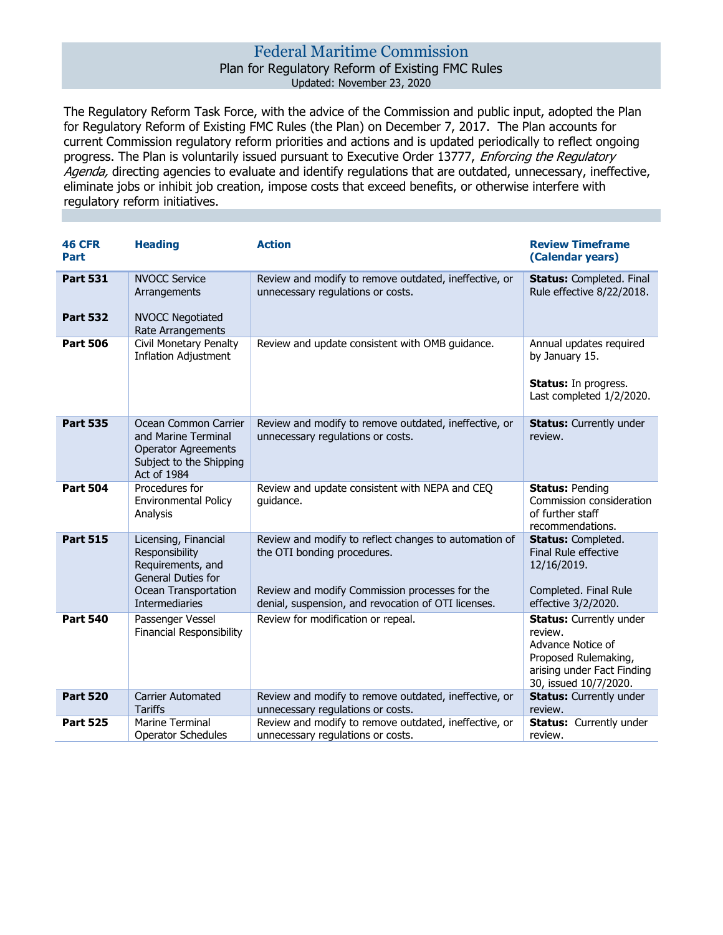## Federal Maritime Commission

## Plan for Regulatory Reform of Existing FMC Rules Updated: November 23, 2020

The Regulatory Reform Task Force, with the advice of the Commission and public input, adopted the Plan for Regulatory Reform of Existing FMC Rules (the Plan) on December 7, 2017. The Plan accounts for current Commission regulatory reform priorities and actions and is updated periodically to reflect ongoing progress. The Plan is voluntarily issued pursuant to Executive Order 13777, *Enforcing the Regulatory* Agenda, directing agencies to evaluate and identify regulations that are outdated, unnecessary, ineffective, eliminate jobs or inhibit job creation, impose costs that exceed benefits, or otherwise interfere with regulatory reform initiatives.

| <b>46 CFR</b><br>Part              | <b>Heading</b>                                                                                                                     | <b>Action</b>                                                                                                                                                                                 | <b>Review Timeframe</b><br>(Calendar years)                                                                                                   |
|------------------------------------|------------------------------------------------------------------------------------------------------------------------------------|-----------------------------------------------------------------------------------------------------------------------------------------------------------------------------------------------|-----------------------------------------------------------------------------------------------------------------------------------------------|
| <b>Part 531</b><br><b>Part 532</b> | <b>NVOCC Service</b><br>Arrangements<br><b>NVOCC Negotiated</b>                                                                    | Review and modify to remove outdated, ineffective, or<br>unnecessary regulations or costs.                                                                                                    | <b>Status: Completed. Final</b><br>Rule effective 8/22/2018.                                                                                  |
|                                    | Rate Arrangements                                                                                                                  |                                                                                                                                                                                               |                                                                                                                                               |
| <b>Part 506</b>                    | <b>Civil Monetary Penalty</b><br><b>Inflation Adjustment</b>                                                                       | Review and update consistent with OMB guidance.                                                                                                                                               | Annual updates required<br>by January 15.<br><b>Status:</b> In progress.<br>Last completed 1/2/2020.                                          |
| <b>Part 535</b>                    | Ocean Common Carrier<br>and Marine Terminal<br><b>Operator Agreements</b><br>Subject to the Shipping<br>Act of 1984                | Review and modify to remove outdated, ineffective, or<br>unnecessary regulations or costs.                                                                                                    | <b>Status:</b> Currently under<br>review.                                                                                                     |
| <b>Part 504</b>                    | Procedures for<br><b>Environmental Policy</b><br>Analysis                                                                          | Review and update consistent with NEPA and CEQ<br>quidance.                                                                                                                                   | <b>Status: Pending</b><br>Commission consideration<br>of further staff<br>recommendations.                                                    |
| <b>Part 515</b>                    | Licensing, Financial<br>Responsibility<br>Requirements, and<br><b>General Duties for</b><br>Ocean Transportation<br>Intermediaries | Review and modify to reflect changes to automation of<br>the OTI bonding procedures.<br>Review and modify Commission processes for the<br>denial, suspension, and revocation of OTI licenses. | <b>Status: Completed.</b><br>Final Rule effective<br>12/16/2019.<br>Completed. Final Rule<br>effective 3/2/2020.                              |
| <b>Part 540</b>                    | Passenger Vessel<br><b>Financial Responsibility</b>                                                                                | Review for modification or repeal.                                                                                                                                                            | <b>Status:</b> Currently under<br>review.<br>Advance Notice of<br>Proposed Rulemaking,<br>arising under Fact Finding<br>30, issued 10/7/2020. |
| <b>Part 520</b>                    | <b>Carrier Automated</b><br><b>Tariffs</b>                                                                                         | Review and modify to remove outdated, ineffective, or<br>unnecessary regulations or costs.                                                                                                    | <b>Status:</b> Currently under<br>review.                                                                                                     |
| <b>Part 525</b>                    | Marine Terminal<br><b>Operator Schedules</b>                                                                                       | Review and modify to remove outdated, ineffective, or<br>unnecessary regulations or costs.                                                                                                    | <b>Status:</b> Currently under<br>review.                                                                                                     |